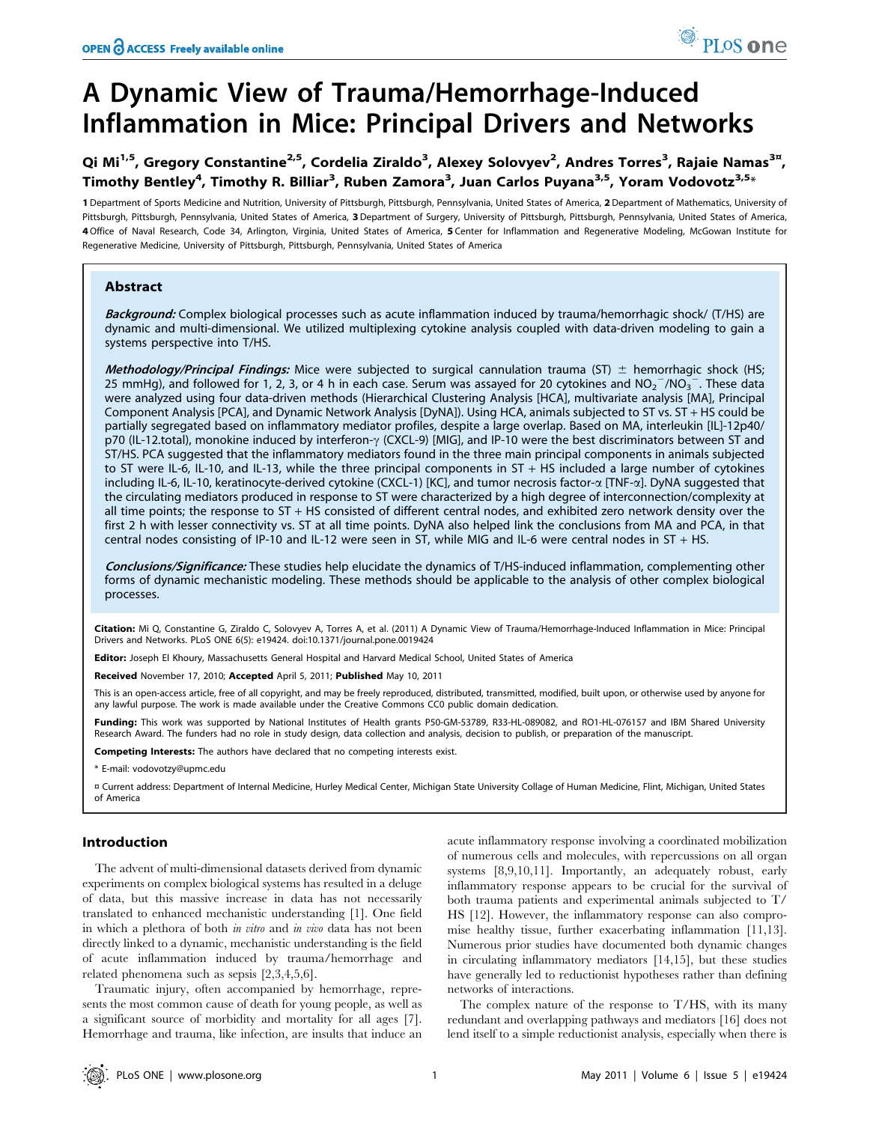# A Dynamic View of Trauma/Hemorrhage-Induced Inflammation in Mice: Principal Drivers and Networks

## Qi Mi<sup>1,5</sup>, Gregory Constantine<sup>2,5</sup>, Cordelia Ziraldo<sup>3</sup>, Alexey Solovyev<sup>2</sup>, Andres Torres<sup>3</sup>, Rajaie Namas<sup>3¤</sup>, Timothy Bentley<sup>4</sup>, Timothy R. Billiar<sup>3</sup>, Ruben Zamora<sup>3</sup>, Juan Carlos Puyana<sup>3,5</sup>, Yoram Vodovotz<sup>3,5</sup>\*

1 Department of Sports Medicine and Nutrition, University of Pittsburgh, Pittsburgh, Pennsylvania, United States of America, 2 Department of Mathematics, University of Pittsburgh, Pittsburgh, Pennsylvania, United States of America, 3 Department of Surgery, University of Pittsburgh, Pittsburgh, Pennsylvania, United States of America, 4Office of Naval Research, Code 34, Arlington, Virginia, United States of America, 5 Center for Inflammation and Regenerative Modeling, McGowan Institute for Regenerative Medicine, University of Pittsburgh, Pittsburgh, Pennsylvania, United States of America

## Abstract

Background: Complex biological processes such as acute inflammation induced by trauma/hemorrhagic shock/ (T/HS) are dynamic and multi-dimensional. We utilized multiplexing cytokine analysis coupled with data-driven modeling to gain a systems perspective into T/HS.

Methodology/Principal Findings: Mice were subjected to surgical cannulation trauma (ST)  $\pm$  hemorrhagic shock (HS; 25 mmHg), and followed for 1, 2, 3, or 4 h in each case. Serum was assayed for 20 cytokines and  $NO_2^-/NO_3^-$ . These data were analyzed using four data-driven methods (Hierarchical Clustering Analysis [HCA], multivariate analysis [MA], Principal Component Analysis [PCA], and Dynamic Network Analysis [DyNA]). Using HCA, animals subjected to ST vs. ST + HS could be partially segregated based on inflammatory mediator profiles, despite a large overlap. Based on MA, interleukin [IL]-12p40/ p70 (IL-12.total), monokine induced by interferon- $\gamma$  (CXCL-9) [MIG], and IP-10 were the best discriminators between ST and ST/HS. PCA suggested that the inflammatory mediators found in the three main principal components in animals subjected to ST were IL-6, IL-10, and IL-13, while the three principal components in ST + HS included a large number of cytokines including IL-6, IL-10, keratinocyte-derived cytokine (CXCL-1) [KC], and tumor necrosis factor-a [TNF-a]. DyNA suggested that the circulating mediators produced in response to ST were characterized by a high degree of interconnection/complexity at all time points; the response to ST + HS consisted of different central nodes, and exhibited zero network density over the first 2 h with lesser connectivity vs. ST at all time points. DyNA also helped link the conclusions from MA and PCA, in that central nodes consisting of IP-10 and IL-12 were seen in ST, while MIG and IL-6 were central nodes in ST + HS.

Conclusions/Significance: These studies help elucidate the dynamics of T/HS-induced inflammation, complementing other forms of dynamic mechanistic modeling. These methods should be applicable to the analysis of other complex biological processes.

Citation: Mi Q, Constantine G, Ziraldo C, Solovyev A, Torres A, et al. (2011) A Dynamic View of Trauma/Hemorrhage-Induced Inflammation in Mice: Principal Drivers and Networks. PLoS ONE 6(5): e19424. doi:10.1371/journal.pone.0019424

Editor: Joseph El Khoury, Massachusetts General Hospital and Harvard Medical School, United States of America

Received November 17, 2010; Accepted April 5, 2011; Published May 10, 2011

This is an open-access article, free of all copyright, and may be freely reproduced, distributed, transmitted, modified, built upon, or otherwise used by anyone for any lawful purpose. The work is made available under the Creative Commons CC0 public domain dedication.

Funding: This work was supported by National Institutes of Health grants P50-GM-53789, R33-HL-089082, and RO1-HL-076157 and IBM Shared University Research Award. The funders had no role in study design, data collection and analysis, decision to publish, or preparation of the manuscript.

Competing Interests: The authors have declared that no competing interests exist.

\* E-mail: vodovotzy@upmc.edu

¤ Current address: Department of Internal Medicine, Hurley Medical Center, Michigan State University Collage of Human Medicine, Flint, Michigan, United States of America

## Introduction

The advent of multi-dimensional datasets derived from dynamic experiments on complex biological systems has resulted in a deluge of data, but this massive increase in data has not necessarily translated to enhanced mechanistic understanding [1]. One field in which a plethora of both in vitro and in vivo data has not been directly linked to a dynamic, mechanistic understanding is the field of acute inflammation induced by trauma/hemorrhage and related phenomena such as sepsis [2,3,4,5,6].

Traumatic injury, often accompanied by hemorrhage, represents the most common cause of death for young people, as well as a significant source of morbidity and mortality for all ages [7]. Hemorrhage and trauma, like infection, are insults that induce an acute inflammatory response involving a coordinated mobilization of numerous cells and molecules, with repercussions on all organ systems [8,9,10,11]. Importantly, an adequately robust, early inflammatory response appears to be crucial for the survival of both trauma patients and experimental animals subjected to T/ HS [12]. However, the inflammatory response can also compromise healthy tissue, further exacerbating inflammation [11,13]. Numerous prior studies have documented both dynamic changes in circulating inflammatory mediators [14,15], but these studies have generally led to reductionist hypotheses rather than defining networks of interactions.

The complex nature of the response to T/HS, with its many redundant and overlapping pathways and mediators [16] does not lend itself to a simple reductionist analysis, especially when there is

PLoS one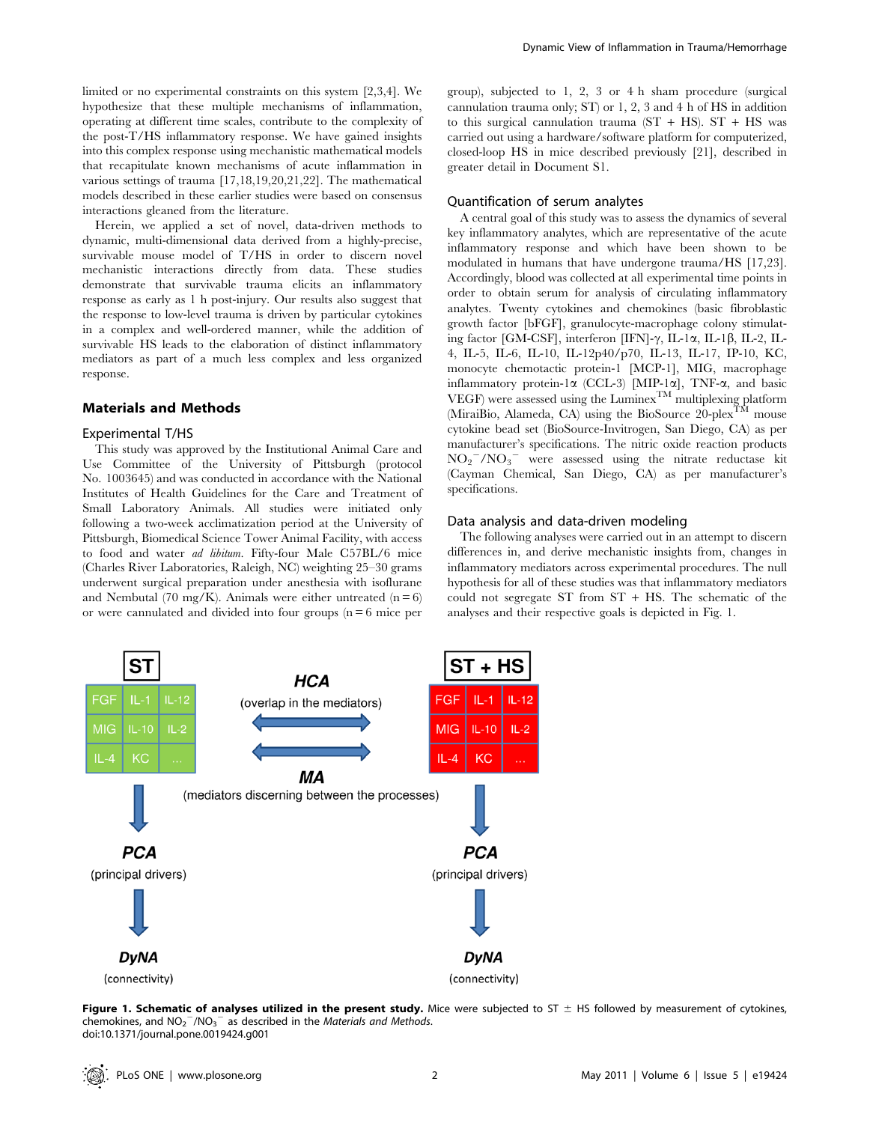limited or no experimental constraints on this system [2,3,4]. We hypothesize that these multiple mechanisms of inflammation, operating at different time scales, contribute to the complexity of the post-T/HS inflammatory response. We have gained insights into this complex response using mechanistic mathematical models that recapitulate known mechanisms of acute inflammation in various settings of trauma [17,18,19,20,21,22]. The mathematical models described in these earlier studies were based on consensus interactions gleaned from the literature.

Herein, we applied a set of novel, data-driven methods to dynamic, multi-dimensional data derived from a highly-precise, survivable mouse model of T/HS in order to discern novel mechanistic interactions directly from data. These studies demonstrate that survivable trauma elicits an inflammatory response as early as 1 h post-injury. Our results also suggest that the response to low-level trauma is driven by particular cytokines in a complex and well-ordered manner, while the addition of survivable HS leads to the elaboration of distinct inflammatory mediators as part of a much less complex and less organized response.

## Materials and Methods

## Experimental T/HS

This study was approved by the Institutional Animal Care and Use Committee of the University of Pittsburgh (protocol No. 1003645) and was conducted in accordance with the National Institutes of Health Guidelines for the Care and Treatment of Small Laboratory Animals. All studies were initiated only following a two-week acclimatization period at the University of Pittsburgh, Biomedical Science Tower Animal Facility, with access to food and water ad libitum. Fifty-four Male C57BL/6 mice (Charles River Laboratories, Raleigh, NC) weighting 25–30 grams underwent surgical preparation under anesthesia with isoflurane and Nembutal (70 mg/K). Animals were either untreated ( $n = 6$ ) or were cannulated and divided into four groups  $(n = 6$  mice per group), subjected to 1, 2, 3 or 4 h sham procedure (surgical cannulation trauma only; ST) or 1, 2, 3 and 4 h of HS in addition to this surgical cannulation trauma  $(ST + HS)$ .  $ST + HS$  was carried out using a hardware/software platform for computerized, closed-loop HS in mice described previously [21], described in greater detail in Document S1.

## Quantification of serum analytes

A central goal of this study was to assess the dynamics of several key inflammatory analytes, which are representative of the acute inflammatory response and which have been shown to be modulated in humans that have undergone trauma/HS [17,23]. Accordingly, blood was collected at all experimental time points in order to obtain serum for analysis of circulating inflammatory analytes. Twenty cytokines and chemokines (basic fibroblastic growth factor [bFGF], granulocyte-macrophage colony stimulating factor [GM-CSF], interferon [IFN]- $\gamma$ , IL-1 $\alpha$ , IL-1 $\beta$ , IL-2, IL-4, IL-5, IL-6, IL-10, IL-12p40/p70, IL-13, IL-17, IP-10, KC, monocyte chemotactic protein-1 [MCP-1], MIG, macrophage inflammatory protein-1a (CCL-3) [MIP-1a], TNF-a, and basic VEGF) were assessed using the  $\text{Luminex}^{\text{TM}}$  multiplexing platform (MiraiBio, Alameda, CA) using the BioSource 20-plex<sup>TM</sup> mouse cytokine bead set (BioSource-Invitrogen, San Diego, CA) as per manufacturer's specifications. The nitric oxide reaction products  $NO_2$ <sup>-</sup>/NO<sub>3</sub><sup>-</sup> were assessed using the nitrate reductase kit (Cayman Chemical, San Diego, CA) as per manufacturer's specifications.

## Data analysis and data-driven modeling

The following analyses were carried out in an attempt to discern differences in, and derive mechanistic insights from, changes in inflammatory mediators across experimental procedures. The null hypothesis for all of these studies was that inflammatory mediators could not segregate ST from ST + HS. The schematic of the analyses and their respective goals is depicted in Fig. 1.



Figure 1. Schematic of analyses utilized in the present study. Mice were subjected to ST  $\pm$  HS followed by measurement of cytokines, chemokines, and  $NO_2^-/NO_3^-$  as described in the Materials and Methods. doi:10.1371/journal.pone.0019424.g001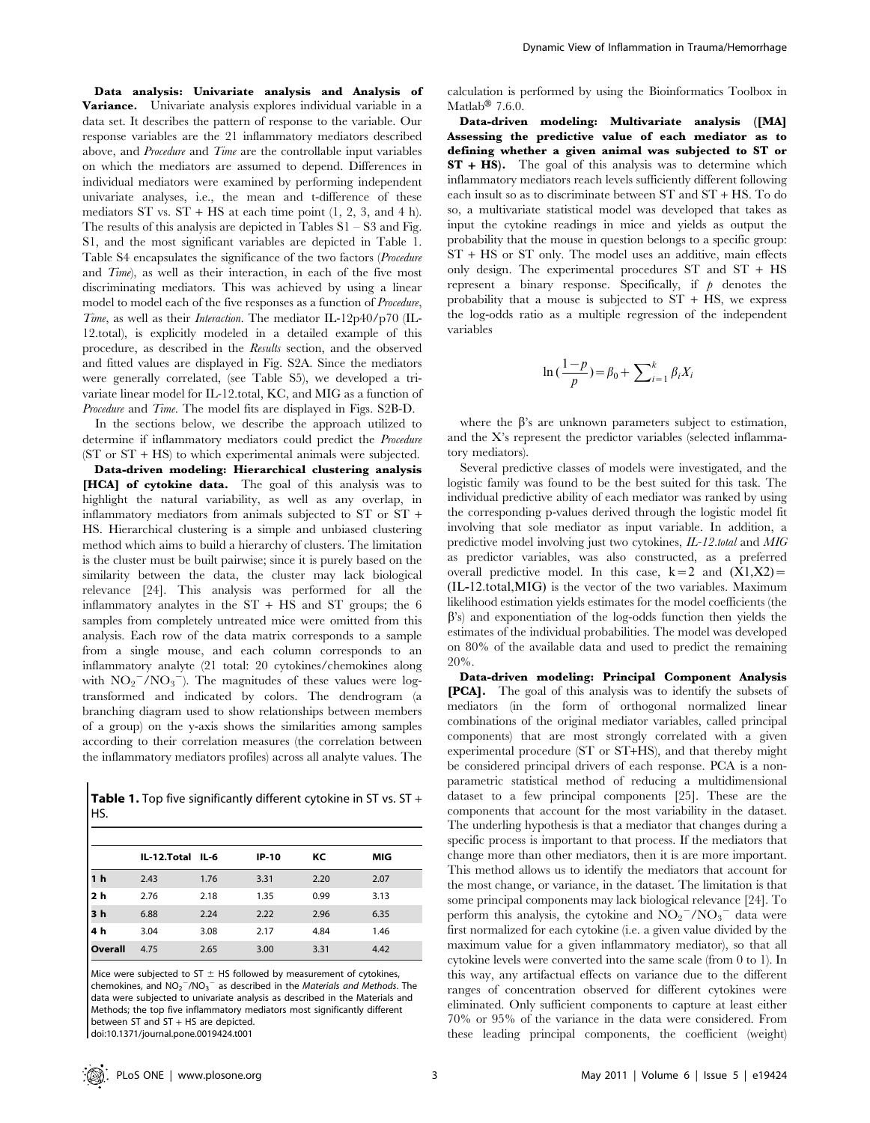Data analysis: Univariate analysis and Analysis of Variance. Univariate analysis explores individual variable in a data set. It describes the pattern of response to the variable. Our response variables are the 21 inflammatory mediators described above, and Procedure and Time are the controllable input variables on which the mediators are assumed to depend. Differences in individual mediators were examined by performing independent univariate analyses, i.e., the mean and t-difference of these mediators  $ST$  vs.  $ST + HS$  at each time point  $(1, 2, 3, \text{ and } 4 \text{ h})$ . The results of this analysis are depicted in Tables  $S1 - S3$  and Fig. S1, and the most significant variables are depicted in Table 1. Table S4 encapsulates the significance of the two factors (Procedure and Time), as well as their interaction, in each of the five most discriminating mediators. This was achieved by using a linear model to model each of the five responses as a function of Procedure, Time, as well as their Interaction. The mediator IL-12p40/p70 (IL-12.total), is explicitly modeled in a detailed example of this procedure, as described in the Results section, and the observed and fitted values are displayed in Fig. S2A. Since the mediators were generally correlated, (see Table S5), we developed a trivariate linear model for IL-12.total, KC, and MIG as a function of Procedure and Time. The model fits are displayed in Figs. S2B-D.

In the sections below, we describe the approach utilized to determine if inflammatory mediators could predict the Procedure (ST or ST + HS) to which experimental animals were subjected.

Data-driven modeling: Hierarchical clustering analysis [HCA] of cytokine data. The goal of this analysis was to highlight the natural variability, as well as any overlap, in inflammatory mediators from animals subjected to ST or ST + HS. Hierarchical clustering is a simple and unbiased clustering method which aims to build a hierarchy of clusters. The limitation is the cluster must be built pairwise; since it is purely based on the similarity between the data, the cluster may lack biological relevance [24]. This analysis was performed for all the inflammatory analytes in the  $ST + HS$  and  $ST$  groups; the 6 samples from completely untreated mice were omitted from this analysis. Each row of the data matrix corresponds to a sample from a single mouse, and each column corresponds to an inflammatory analyte (21 total: 20 cytokines/chemokines along with  $NO_2^-/NO_3^-$ ). The magnitudes of these values were logtransformed and indicated by colors. The dendrogram (a branching diagram used to show relationships between members of a group) on the y-axis shows the similarities among samples according to their correlation measures (the correlation between the inflammatory mediators profiles) across all analyte values. The

Table 1. Top five significantly different cytokine in ST vs. ST + HS.

|                | IL-12.Total IL-6 |      | IP-10 | КC   | MIG  |
|----------------|------------------|------|-------|------|------|
| 1 <sub>h</sub> | 2.43             | 1.76 | 3.31  | 2.20 | 2.07 |
| 2 <sub>h</sub> | 2.76             | 2.18 | 1.35  | 0.99 | 3.13 |
| 3h             | 6.88             | 2.24 | 2.22  | 2.96 | 6.35 |
| 4 h            | 3.04             | 3.08 | 2.17  | 4.84 | 1.46 |
| Overall        | 4.75             | 2.65 | 3.00  | 3.31 | 4.42 |

Mice were subjected to ST  $\pm$  HS followed by measurement of cytokines, chemokines, and  $NO_2^-/NO_3^-$  as described in the *Materials and Methods*. The data were subjected to univariate analysis as described in the Materials and Methods; the top five inflammatory mediators most significantly different between ST and ST + HS are depicted. doi:10.1371/journal.pone.0019424.t001

calculation is performed by using the Bioinformatics Toolbox in Matlab<sup>®</sup> 7.6.0.

Data-driven modeling: Multivariate analysis ([MA] Assessing the predictive value of each mediator as to defining whether a given animal was subjected to ST or ST + HS). The goal of this analysis was to determine which inflammatory mediators reach levels sufficiently different following each insult so as to discriminate between ST and ST + HS. To do so, a multivariate statistical model was developed that takes as input the cytokine readings in mice and yields as output the probability that the mouse in question belongs to a specific group: ST + HS or ST only. The model uses an additive, main effects only design. The experimental procedures ST and ST + HS represent a binary response. Specifically, if  $\phi$  denotes the probability that a mouse is subjected to  $ST + HS$ , we express the log-odds ratio as a multiple regression of the independent variables

$$
\ln\left(\frac{1-p}{p}\right) = \beta_0 + \sum_{i=1}^{k} \beta_i X_i
$$

where the  $\beta$ 's are unknown parameters subject to estimation, and the X's represent the predictor variables (selected inflammatory mediators).

Several predictive classes of models were investigated, and the logistic family was found to be the best suited for this task. The individual predictive ability of each mediator was ranked by using the corresponding p-values derived through the logistic model fit involving that sole mediator as input variable. In addition, a predictive model involving just two cytokines, IL-12.total and MIG as predictor variables, was also constructed, as a preferred overall predictive model. In this case,  $k=2$  and  $(X1,X2)$ = (IL-12:total,MIG) is the vector of the two variables. Maximum likelihood estimation yields estimates for the model coefficients (the  $\beta$ 's) and exponentiation of the log-odds function then yields the estimates of the individual probabilities. The model was developed on 80% of the available data and used to predict the remaining 20%.

Data-driven modeling: Principal Component Analysis [PCA]. The goal of this analysis was to identify the subsets of mediators (in the form of orthogonal normalized linear combinations of the original mediator variables, called principal components) that are most strongly correlated with a given experimental procedure (ST or ST+HS), and that thereby might be considered principal drivers of each response. PCA is a nonparametric statistical method of reducing a multidimensional dataset to a few principal components [25]. These are the components that account for the most variability in the dataset. The underling hypothesis is that a mediator that changes during a specific process is important to that process. If the mediators that change more than other mediators, then it is are more important. This method allows us to identify the mediators that account for the most change, or variance, in the dataset. The limitation is that some principal components may lack biological relevance [24]. To perform this analysis, the cytokine and  $\overline{NO_2}^- / \overline{NO_3}^-$  data were first normalized for each cytokine (i.e. a given value divided by the maximum value for a given inflammatory mediator), so that all cytokine levels were converted into the same scale (from 0 to 1). In this way, any artifactual effects on variance due to the different ranges of concentration observed for different cytokines were eliminated. Only sufficient components to capture at least either 70% or 95% of the variance in the data were considered. From these leading principal components, the coefficient (weight)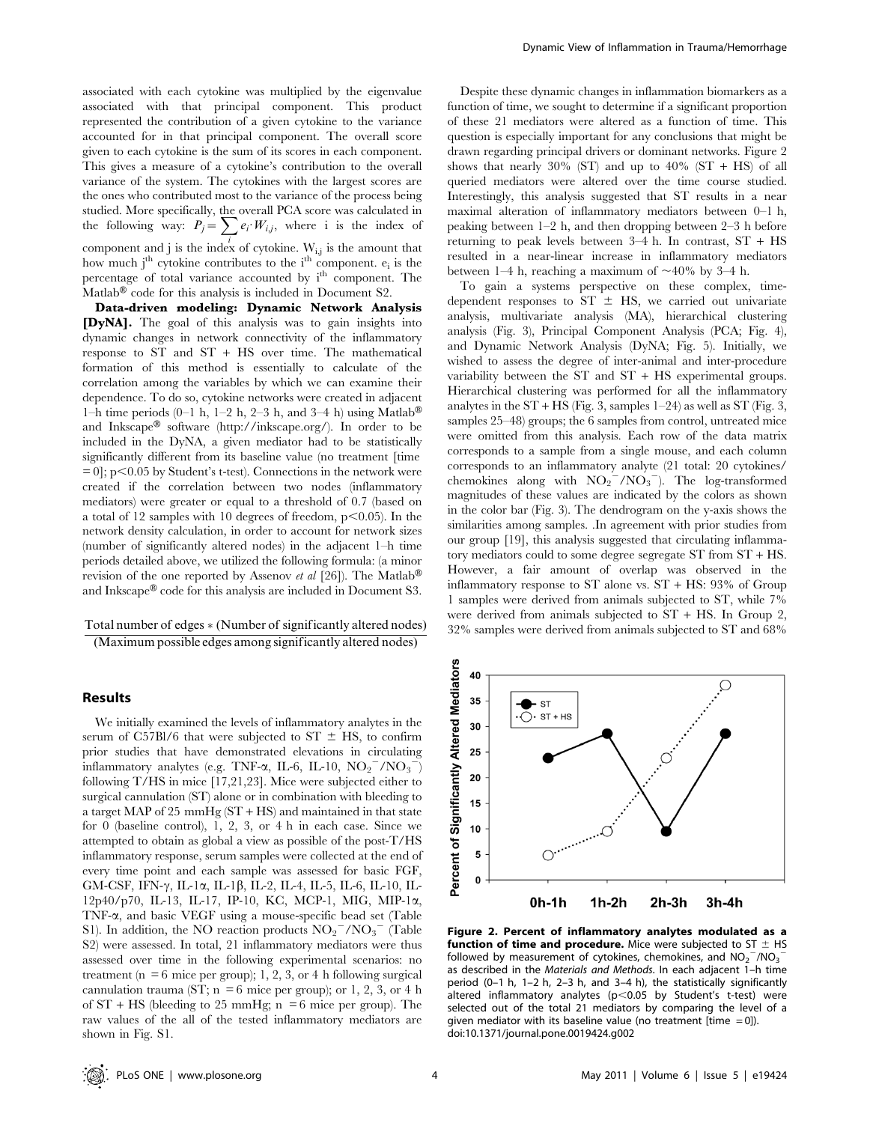associated with each cytokine was multiplied by the eigenvalue associated with that principal component. This product represented the contribution of a given cytokine to the variance accounted for in that principal component. The overall score given to each cytokine is the sum of its scores in each component. This gives a measure of a cytokine's contribution to the overall variance of the system. The cytokines with the largest scores are the ones who contributed most to the variance of the process being studied. More specifically, the overall PCA score was calculated in studied. More specifically, the overall FCA score was calculated in<br>the following way:  $P_j = \sum_i e_i \cdot W_{i,j}$ , where i is the index of component and j is the index of cytokine.  $W_{i,j}$  is the amount that how much j<sup>th</sup> cytokine contributes to the  $i<sup>th</sup>$  component.  $e_i$  is the percentage of total variance accounted by i<sup>th</sup> component. The Matlab $\mathcal{B}$  code for this analysis is included in Document S2.

Data-driven modeling: Dynamic Network Analysis [DyNA]. The goal of this analysis was to gain insights into dynamic changes in network connectivity of the inflammatory response to ST and ST + HS over time. The mathematical formation of this method is essentially to calculate of the correlation among the variables by which we can examine their dependence. To do so, cytokine networks were created in adjacent 1–h time periods  $(0-1 h, 1-2 h, 2-3 h,$  and 3–4 h) using Matlab<sup>®</sup> and Inkscape<sup>®</sup> software (http://inkscape.org/). In order to be included in the DyNA, a given mediator had to be statistically significantly different from its baseline value (no treatment [time  $= 0$ ; p $< 0.05$  by Student's t-test). Connections in the network were created if the correlation between two nodes (inflammatory mediators) were greater or equal to a threshold of 0.7 (based on a total of 12 samples with 10 degrees of freedom,  $p<0.05$ ). In the network density calculation, in order to account for network sizes (number of significantly altered nodes) in the adjacent 1–h time periods detailed above, we utilized the following formula: (a minor revision of the one reported by Assenov et al [26]). The Matlab<sup>®</sup> and Inkscape $^{\circledR}$  code for this analysis are included in Document S3.

Total number of edges  $*$  (Number of significantly altered nodes)

(Maximum possible edges among significantly altered nodes)

## Results

We initially examined the levels of inflammatory analytes in the serum of C57Bl/6 that were subjected to ST  $\pm$  HS, to confirm prior studies that have demonstrated elevations in circulating inflammatory analytes (e.g. TNF- $\alpha$ , IL-6, IL-10,  $\mathrm{NO_2}^- / \mathrm{NO_3}^-$ ) following T/HS in mice [17,21,23]. Mice were subjected either to surgical cannulation (ST) alone or in combination with bleeding to a target MAP of 25 mmHg (ST + HS) and maintained in that state for 0 (baseline control), 1, 2, 3, or 4 h in each case. Since we attempted to obtain as global a view as possible of the post-T/HS inflammatory response, serum samples were collected at the end of every time point and each sample was assessed for basic FGF, GM-CSF, IFN- $\gamma$ , IL-1 $\alpha$ , IL-1 $\beta$ , IL-2, IL-4, IL-5, IL-6, IL-10, IL-12p40/p70, IL-13, IL-17, IP-10, KC, MCP-1, MIG, MIP-1a, TNF-a, and basic VEGF using a mouse-specific bead set (Table S1). In addition, the NO reaction products  $NO_2^-/NO_3^-$  (Table S2) were assessed. In total, 21 inflammatory mediators were thus assessed over time in the following experimental scenarios: no treatment ( $n = 6$  mice per group); 1, 2, 3, or 4 h following surgical cannulation trauma (ST;  $n = 6$  mice per group); or 1, 2, 3, or 4 h of  $ST + HS$  (bleeding to 25 mmHg; n = 6 mice per group). The raw values of the all of the tested inflammatory mediators are shown in Fig. S1.

Despite these dynamic changes in inflammation biomarkers as a function of time, we sought to determine if a significant proportion of these 21 mediators were altered as a function of time. This question is especially important for any conclusions that might be drawn regarding principal drivers or dominant networks. Figure 2 shows that nearly 30% (ST) and up to 40% (ST + HS) of all queried mediators were altered over the time course studied. Interestingly, this analysis suggested that ST results in a near maximal alteration of inflammatory mediators between 0–1 h, peaking between 1–2 h, and then dropping between 2–3 h before returning to peak levels between  $3-4$  h. In contrast,  $ST + HS$ resulted in a near-linear increase in inflammatory mediators between 1–4 h, reaching a maximum of  $\sim$ 40% by 3–4 h.

To gain a systems perspective on these complex, timedependent responses to ST  $\pm$  HS, we carried out univariate analysis, multivariate analysis (MA), hierarchical clustering analysis (Fig. 3), Principal Component Analysis (PCA; Fig. 4), and Dynamic Network Analysis (DyNA; Fig. 5). Initially, we wished to assess the degree of inter-animal and inter-procedure variability between the ST and ST + HS experimental groups. Hierarchical clustering was performed for all the inflammatory analytes in the  $ST + HS$  (Fig. 3, samples 1–24) as well as ST (Fig. 3, samples 25–48) groups; the 6 samples from control, untreated mice were omitted from this analysis. Each row of the data matrix corresponds to a sample from a single mouse, and each column corresponds to an inflammatory analyte (21 total: 20 cytokines/ chemokines along with  $NO_2^{\text{-}}/NO_3^{\text{-}})$ . The log-transformed magnitudes of these values are indicated by the colors as shown in the color bar (Fig. 3). The dendrogram on the y-axis shows the similarities among samples. .In agreement with prior studies from our group [19], this analysis suggested that circulating inflammatory mediators could to some degree segregate ST from ST + HS. However, a fair amount of overlap was observed in the inflammatory response to ST alone vs. ST + HS: 93% of Group 1 samples were derived from animals subjected to ST, while 7% were derived from animals subjected to ST + HS. In Group 2, 32% samples were derived from animals subjected to ST and 68%



Figure 2. Percent of inflammatory analytes modulated as a **function of time and procedure.** Mice were subjected to ST  $\pm$  HS followed by measurement of cytokines, chemokines, and  $NO_2^-/NO_3^$ as described in the Materials and Methods. In each adjacent 1–h time period (0–1 h, 1–2 h, 2–3 h, and 3–4 h), the statistically significantly altered inflammatory analytes ( $p$ <0.05 by Student's t-test) were selected out of the total 21 mediators by comparing the level of a given mediator with its baseline value (no treatment [time = 0]). doi:10.1371/journal.pone.0019424.g002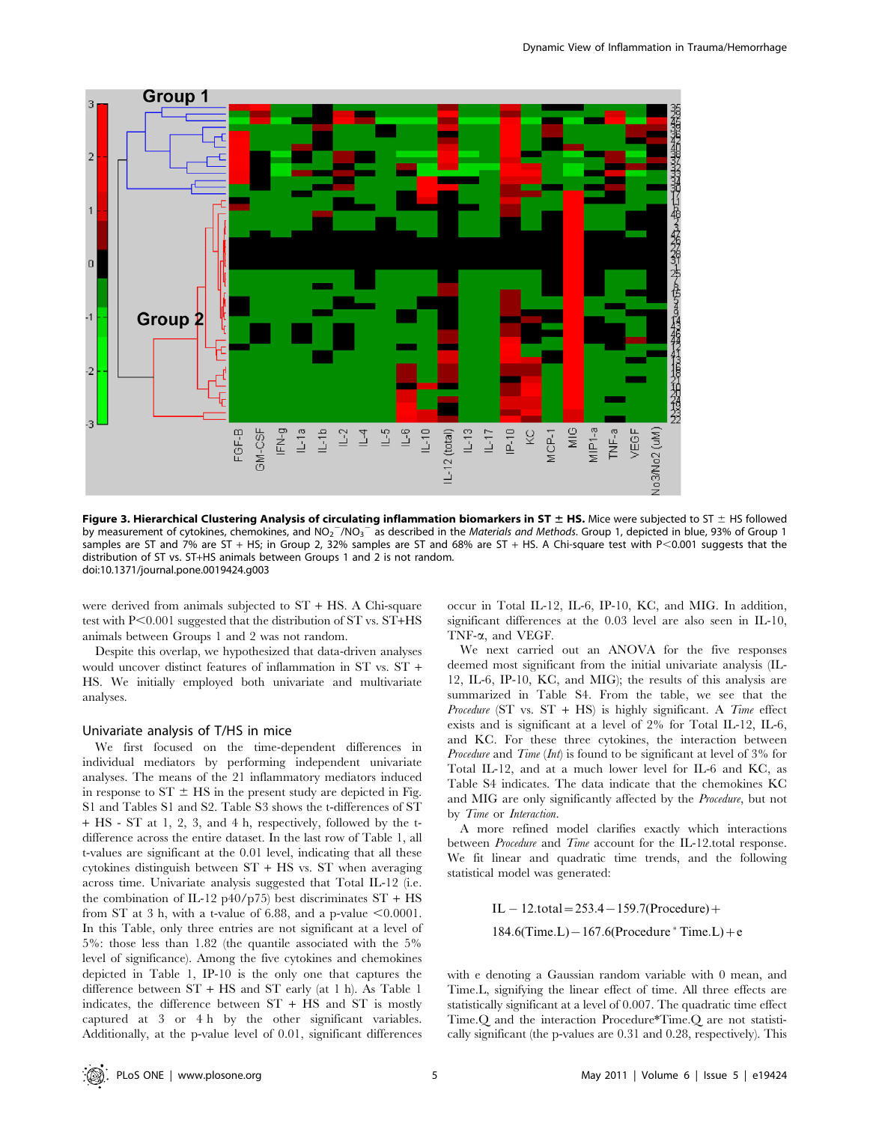

Figure 3. Hierarchical Clustering Analysis of circulating inflammation biomarkers in ST  $\pm$  HS. Mice were subjected to ST  $\pm$  HS followed by measurement of cytokines, chemokines, and NO<sub>2</sub><sup>-</sup>/NO<sub>3</sub><sup>-</sup> as described in the *Materials and Methods*. Group 1, depicted in blue, 93% of Group 1 samples are ST and 7% are ST + HS; in Group 2, 32% samples are ST and 68% are ST + HS. A Chi-square test with P<0.001 suggests that the distribution of ST vs. ST+HS animals between Groups 1 and 2 is not random. doi:10.1371/journal.pone.0019424.g003

were derived from animals subjected to ST + HS. A Chi-square test with  $P<0.001$  suggested that the distribution of ST vs.  $ST+HS$ animals between Groups 1 and 2 was not random.

Despite this overlap, we hypothesized that data-driven analyses would uncover distinct features of inflammation in ST vs. ST + HS. We initially employed both univariate and multivariate analyses.

#### Univariate analysis of T/HS in mice

We first focused on the time-dependent differences in individual mediators by performing independent univariate analyses. The means of the 21 inflammatory mediators induced in response to  $ST \pm HS$  in the present study are depicted in Fig. S1 and Tables S1 and S2. Table S3 shows the t-differences of ST + HS - ST at 1, 2, 3, and 4 h, respectively, followed by the tdifference across the entire dataset. In the last row of Table 1, all t-values are significant at the 0.01 level, indicating that all these cytokines distinguish between ST + HS vs. ST when averaging across time. Univariate analysis suggested that Total IL-12 (i.e. the combination of IL-12 p40/p75) best discriminates  $ST + HS$ from ST at 3 h, with a t-value of 6.88, and a p-value  $<0.0001$ . In this Table, only three entries are not significant at a level of 5%: those less than 1.82 (the quantile associated with the 5% level of significance). Among the five cytokines and chemokines depicted in Table 1, IP-10 is the only one that captures the difference between ST + HS and ST early (at 1 h). As Table 1 indicates, the difference between ST + HS and ST is mostly captured at 3 or 4 h by the other significant variables. Additionally, at the p-value level of 0.01, significant differences occur in Total IL-12, IL-6, IP-10, KC, and MIG. In addition, significant differences at the 0.03 level are also seen in IL-10, TNF-a, and VEGF.

We next carried out an ANOVA for the five responses deemed most significant from the initial univariate analysis (IL-12, IL-6, IP-10, KC, and MIG); the results of this analysis are summarized in Table S4. From the table, we see that the Procedure (ST vs.  $ST + HS$ ) is highly significant. A *Time* effect exists and is significant at a level of 2% for Total IL-12, IL-6, and KC. For these three cytokines, the interaction between Procedure and Time (Int) is found to be significant at level of 3% for Total IL-12, and at a much lower level for IL-6 and KC, as Table S4 indicates. The data indicate that the chemokines KC and MIG are only significantly affected by the Procedure, but not by Time or Interaction.

A more refined model clarifies exactly which interactions between Procedure and Time account for the IL-12.total response. We fit linear and quadratic time trends, and the following statistical model was generated:

> $IL - 12. total = 253.4 - 159.7 (Proceedure) +$  $184.6$ (Time.L)  $- 167.6$ (Procedure  $*$  Time.L) + e

with e denoting a Gaussian random variable with 0 mean, and Time.L, signifying the linear effect of time. All three effects are statistically significant at a level of 0.007. The quadratic time effect Time.Q and the interaction Procedure\*Time.Q are not statistically significant (the p-values are 0.31 and 0.28, respectively). This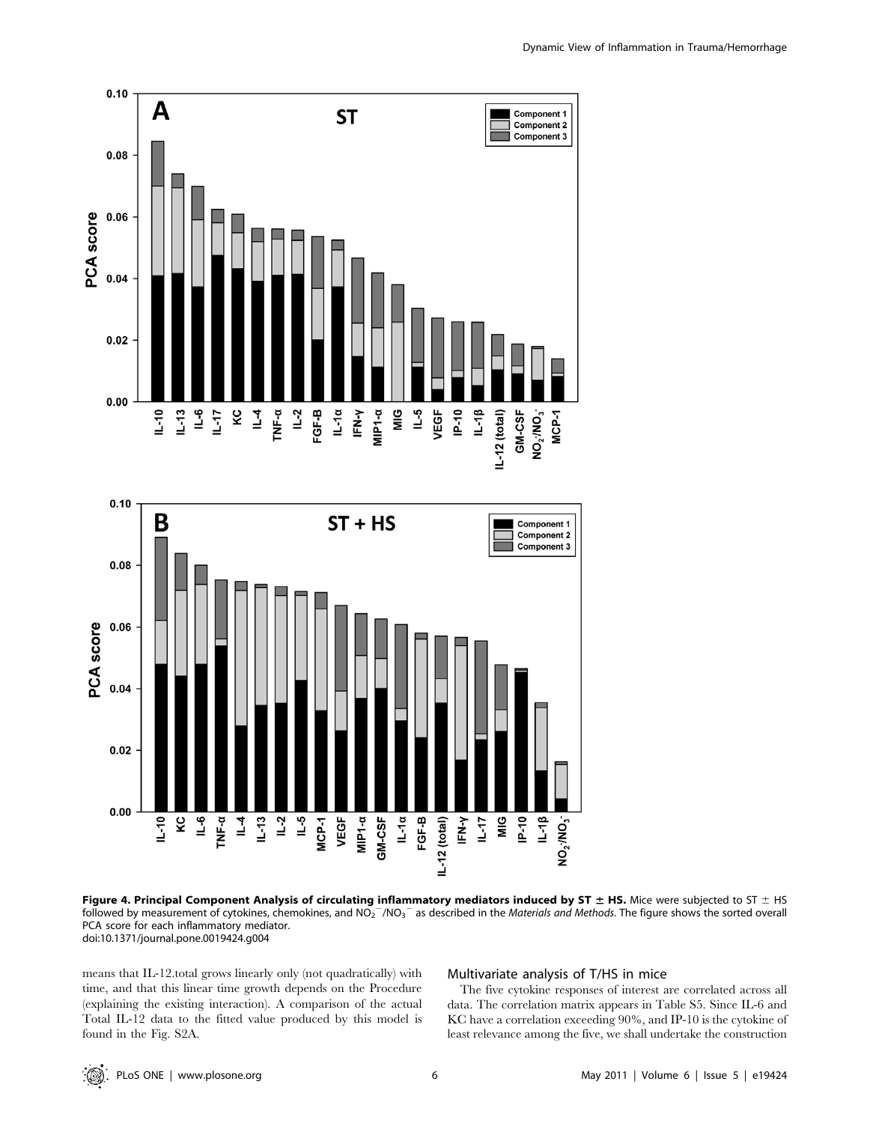

Figure 4. Principal Component Analysis of circulating inflammatory mediators induced by ST  $\pm$  HS. Mice were subjected to ST  $\pm$  HS followed by measurement of cytokines, chemokines, and NO<sub>2</sub><sup>-</sup>/NO<sub>3</sub><sup>-</sup> as described in the *Materials and Methods*. The figure shows the sorted overall PCA score for each inflammatory mediator. doi:10.1371/journal.pone.0019424.g004

 $F N - Y$  $\frac{1}{2}$  $\frac{1}{2}$  $P-10$  $1 - 18$ 

IL-12 (total)

MIP1-a GM-CSF  $L-1a$  $FGF-B$ 

VEGF

MCP-1

means that IL-12.total grows linearly only (not quadratically) with time, and that this linear time growth depends on the Procedure (explaining the existing interaction). A comparison of the actual Total IL-12 data to the fitted value produced by this model is found in the Fig. S2A.

 $\overline{1}$  $\overline{1}$ 

 $IL-13$ 

## Multivariate analysis of T/HS in mice

 $NO<sub>2</sub>$ -MO<sub>3</sub>

The five cytokine responses of interest are correlated across all data. The correlation matrix appears in Table S5. Since IL-6 and KC have a correlation exceeding 90%, and IP-10 is the cytokine of least relevance among the five, we shall undertake the construction

kc |  $\overline{e}$ TNF-a  $\frac{4}{1}$ 

 $L-10$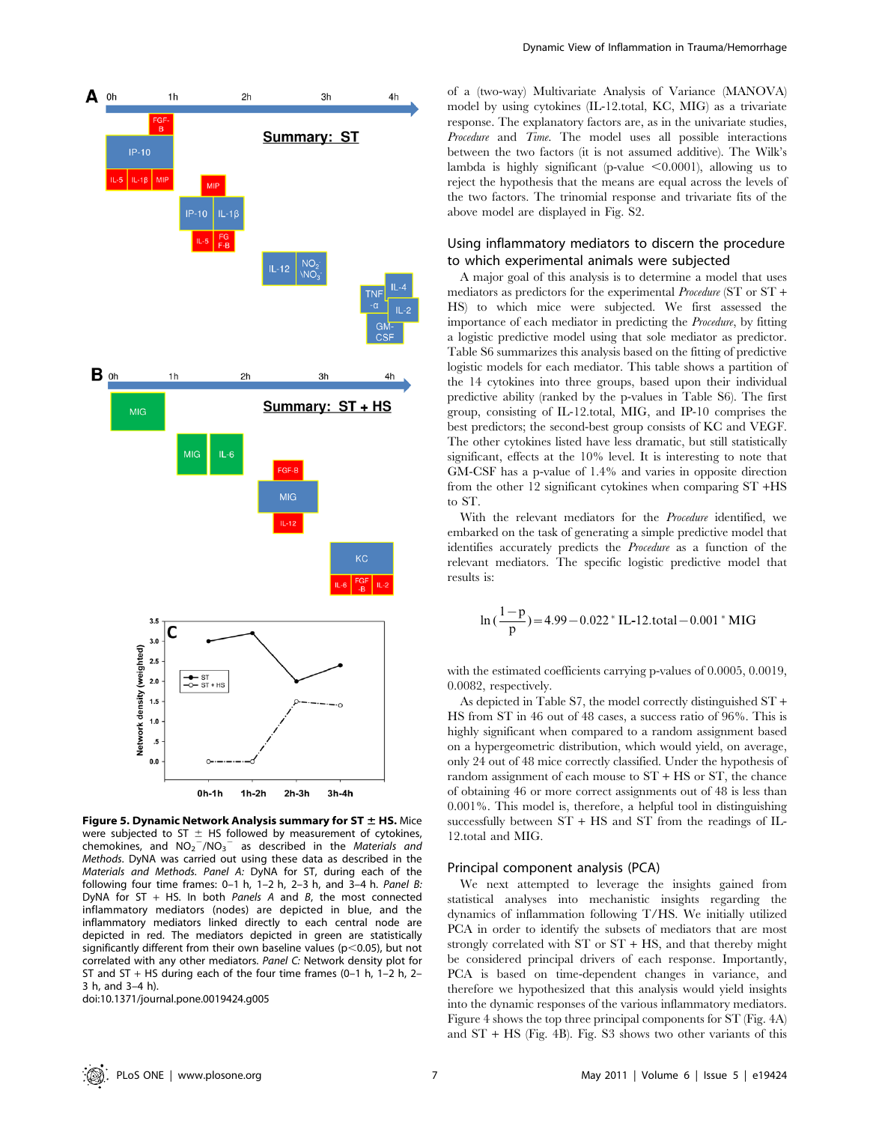

Figure 5. Dynamic Network Analysis summary for ST  $\pm$  HS. Mice were subjected to ST  $\pm$  HS followed by measurement of cytokines, chemokines, and  $NO_2^-/NO_3^-$  as described in the *Materials and* Methods. DyNA was carried out using these data as described in the Materials and Methods. Panel A: DyNA for ST, during each of the following four time frames:  $0-1$  h,  $1-2$  h,  $2-3$  h, and  $3-4$  h. Panel B: DyNA for ST + HS. In both Panels A and B, the most connected inflammatory mediators (nodes) are depicted in blue, and the inflammatory mediators linked directly to each central node are depicted in red. The mediators depicted in green are statistically significantly different from their own baseline values ( $p$ <0.05), but not correlated with any other mediators. Panel C: Network density plot for ST and ST + HS during each of the four time frames  $(0-1 h, 1-2 h, 2-1)$ 3 h, and 3–4 h).

doi:10.1371/journal.pone.0019424.g005

of a (two-way) Multivariate Analysis of Variance (MANOVA) model by using cytokines (IL-12.total, KC, MIG) as a trivariate response. The explanatory factors are, as in the univariate studies, Procedure and Time. The model uses all possible interactions between the two factors (it is not assumed additive). The Wilk's lambda is highly significant (p-value  $\leq 0.0001$ ), allowing us to reject the hypothesis that the means are equal across the levels of the two factors. The trinomial response and trivariate fits of the above model are displayed in Fig. S2.

## Using inflammatory mediators to discern the procedure to which experimental animals were subjected

A major goal of this analysis is to determine a model that uses mediators as predictors for the experimental Procedure (ST or ST + HS) to which mice were subjected. We first assessed the importance of each mediator in predicting the Procedure, by fitting a logistic predictive model using that sole mediator as predictor. Table S6 summarizes this analysis based on the fitting of predictive logistic models for each mediator. This table shows a partition of the 14 cytokines into three groups, based upon their individual predictive ability (ranked by the p-values in Table S6). The first group, consisting of IL-12.total, MIG, and IP-10 comprises the best predictors; the second-best group consists of KC and VEGF. The other cytokines listed have less dramatic, but still statistically significant, effects at the 10% level. It is interesting to note that GM-CSF has a p-value of 1.4% and varies in opposite direction from the other 12 significant cytokines when comparing ST +HS to ST.

With the relevant mediators for the Procedure identified, we embarked on the task of generating a simple predictive model that identifies accurately predicts the Procedure as a function of the relevant mediators. The specific logistic predictive model that results is:

$$
\ln\left(\frac{1-p}{p}\right) = 4.99 - 0.022 \times IL-12. \text{total} - 0.001 \times MIC
$$

with the estimated coefficients carrying p-values of 0.0005, 0.0019, 0.0082, respectively.

As depicted in Table S7, the model correctly distinguished ST + HS from ST in 46 out of 48 cases, a success ratio of 96%. This is highly significant when compared to a random assignment based on a hypergeometric distribution, which would yield, on average, only 24 out of 48 mice correctly classified. Under the hypothesis of random assignment of each mouse to  $ST + HS$  or  $ST$ , the chance of obtaining 46 or more correct assignments out of 48 is less than 0.001%. This model is, therefore, a helpful tool in distinguishing successfully between ST + HS and ST from the readings of IL-12.total and MIG.

#### Principal component analysis (PCA)

We next attempted to leverage the insights gained from statistical analyses into mechanistic insights regarding the dynamics of inflammation following T/HS. We initially utilized PCA in order to identify the subsets of mediators that are most strongly correlated with ST or ST + HS, and that thereby might be considered principal drivers of each response. Importantly, PCA is based on time-dependent changes in variance, and therefore we hypothesized that this analysis would yield insights into the dynamic responses of the various inflammatory mediators. Figure 4 shows the top three principal components for ST (Fig. 4A) and ST + HS (Fig. 4B). Fig. S3 shows two other variants of this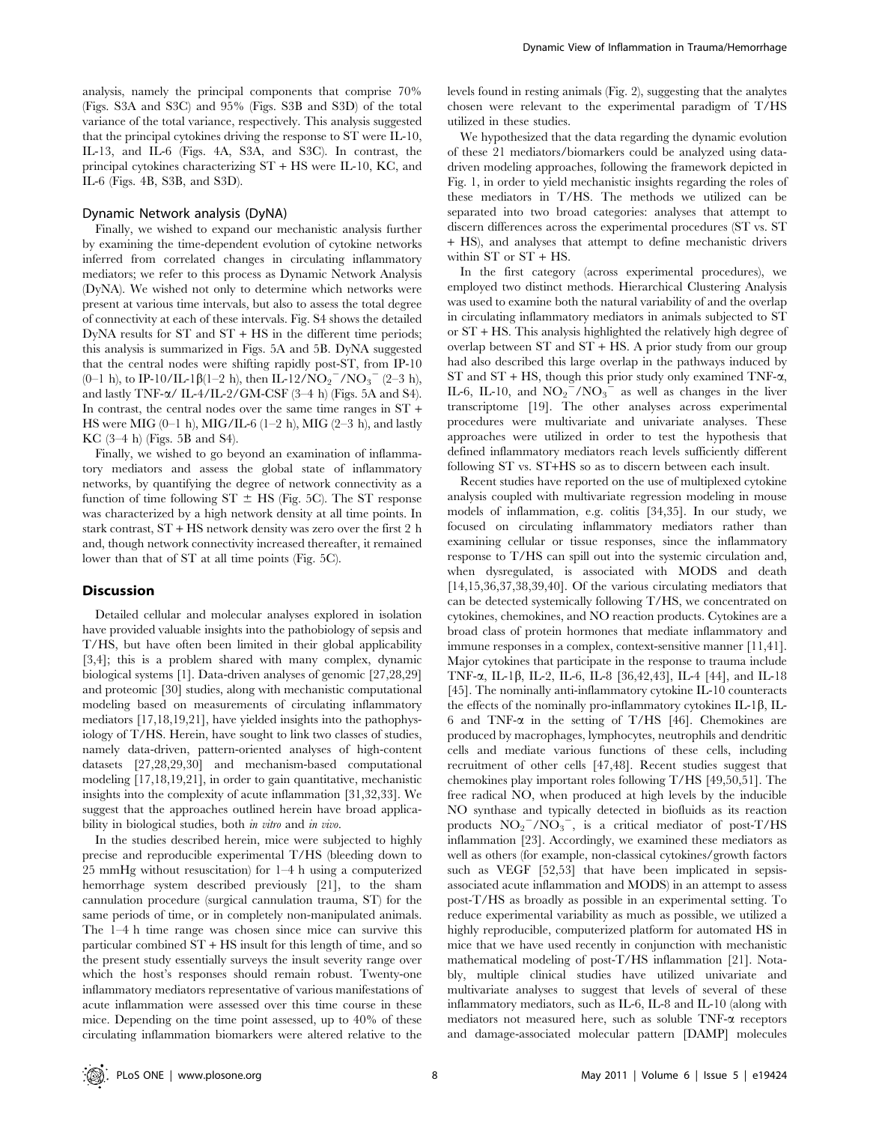analysis, namely the principal components that comprise 70% (Figs. S3A and S3C) and 95% (Figs. S3B and S3D) of the total variance of the total variance, respectively. This analysis suggested that the principal cytokines driving the response to ST were IL-10, IL-13, and IL-6 (Figs. 4A, S3A, and S3C). In contrast, the principal cytokines characterizing ST + HS were IL-10, KC, and IL-6 (Figs. 4B, S3B, and S3D).

#### Dynamic Network analysis (DyNA)

Finally, we wished to expand our mechanistic analysis further by examining the time-dependent evolution of cytokine networks inferred from correlated changes in circulating inflammatory mediators; we refer to this process as Dynamic Network Analysis (DyNA). We wished not only to determine which networks were present at various time intervals, but also to assess the total degree of connectivity at each of these intervals. Fig. S4 shows the detailed DyNA results for ST and ST + HS in the different time periods; this analysis is summarized in Figs. 5A and 5B. DyNA suggested that the central nodes were shifting rapidly post-ST, from IP-10 (0–1 h), to IP-10/IL-1 $\beta$ (1–2 h), then IL-12/NO<sub>2</sub><sup>-</sup>/NO<sub>3</sub><sup>-</sup> (2–3 h), and lastly TNF- $\alpha$ / IL-4/IL-2/GM-CSF (3-4 h) (Figs. 5A and S4). In contrast, the central nodes over the same time ranges in ST + HS were MIG (0-1 h), MIG/IL-6 (1-2 h), MIG (2-3 h), and lastly KC (3–4 h) (Figs. 5B and S4).

Finally, we wished to go beyond an examination of inflammatory mediators and assess the global state of inflammatory networks, by quantifying the degree of network connectivity as a function of time following  $ST \pm HS$  (Fig. 5C). The ST response was characterized by a high network density at all time points. In stark contrast, ST + HS network density was zero over the first 2 h and, though network connectivity increased thereafter, it remained lower than that of ST at all time points (Fig. 5C).

#### **Discussion**

Detailed cellular and molecular analyses explored in isolation have provided valuable insights into the pathobiology of sepsis and T/HS, but have often been limited in their global applicability [3,4]; this is a problem shared with many complex, dynamic biological systems [1]. Data-driven analyses of genomic [27,28,29] and proteomic [30] studies, along with mechanistic computational modeling based on measurements of circulating inflammatory mediators [17,18,19,21], have yielded insights into the pathophysiology of T/HS. Herein, have sought to link two classes of studies, namely data-driven, pattern-oriented analyses of high-content datasets [27,28,29,30] and mechanism-based computational modeling [17,18,19,21], in order to gain quantitative, mechanistic insights into the complexity of acute inflammation [31,32,33]. We suggest that the approaches outlined herein have broad applicability in biological studies, both in vitro and in vivo.

In the studies described herein, mice were subjected to highly precise and reproducible experimental T/HS (bleeding down to 25 mmHg without resuscitation) for 1–4 h using a computerized hemorrhage system described previously [21], to the sham cannulation procedure (surgical cannulation trauma, ST) for the same periods of time, or in completely non-manipulated animals. The 1–4 h time range was chosen since mice can survive this particular combined ST + HS insult for this length of time, and so the present study essentially surveys the insult severity range over which the host's responses should remain robust. Twenty-one inflammatory mediators representative of various manifestations of acute inflammation were assessed over this time course in these mice. Depending on the time point assessed, up to 40% of these circulating inflammation biomarkers were altered relative to the

levels found in resting animals (Fig. 2), suggesting that the analytes chosen were relevant to the experimental paradigm of T/HS utilized in these studies.

We hypothesized that the data regarding the dynamic evolution of these 21 mediators/biomarkers could be analyzed using datadriven modeling approaches, following the framework depicted in Fig. 1, in order to yield mechanistic insights regarding the roles of these mediators in T/HS. The methods we utilized can be separated into two broad categories: analyses that attempt to discern differences across the experimental procedures (ST vs. ST + HS), and analyses that attempt to define mechanistic drivers within ST or ST + HS.

In the first category (across experimental procedures), we employed two distinct methods. Hierarchical Clustering Analysis was used to examine both the natural variability of and the overlap in circulating inflammatory mediators in animals subjected to ST or ST + HS. This analysis highlighted the relatively high degree of overlap between ST and ST + HS. A prior study from our group had also described this large overlap in the pathways induced by ST and  $ST + HS$ , though this prior study only examined TNF- $\alpha$ , IL-6, IL-10, and  $NO_2^{\text{27}}/NO_3^{\text{-}}$  as well as changes in the liver transcriptome [19]. The other analyses across experimental procedures were multivariate and univariate analyses. These approaches were utilized in order to test the hypothesis that defined inflammatory mediators reach levels sufficiently different following ST vs. ST+HS so as to discern between each insult.

Recent studies have reported on the use of multiplexed cytokine analysis coupled with multivariate regression modeling in mouse models of inflammation, e.g. colitis [34,35]. In our study, we focused on circulating inflammatory mediators rather than examining cellular or tissue responses, since the inflammatory response to T/HS can spill out into the systemic circulation and, when dysregulated, is associated with MODS and death [14,15,36,37,38,39,40]. Of the various circulating mediators that can be detected systemically following T/HS, we concentrated on cytokines, chemokines, and NO reaction products. Cytokines are a broad class of protein hormones that mediate inflammatory and immune responses in a complex, context-sensitive manner [11,41]. Major cytokines that participate in the response to trauma include TNF-a, IL-1b, IL-2, IL-6, IL-8 [36,42,43], IL-4 [44], and IL-18 [45]. The nominally anti-inflammatory cytokine IL-10 counteracts the effects of the nominally pro-inflammatory cytokines  $IL-1\beta$ ,  $IL-$ 6 and TNF- $\alpha$  in the setting of T/HS [46]. Chemokines are produced by macrophages, lymphocytes, neutrophils and dendritic cells and mediate various functions of these cells, including recruitment of other cells [47,48]. Recent studies suggest that chemokines play important roles following T/HS [49,50,51]. The free radical NO, when produced at high levels by the inducible NO synthase and typically detected in biofluids as its reaction products  $NO_2^-/NO_3^-$ , is a critical mediator of post-T/HS inflammation [23]. Accordingly, we examined these mediators as well as others (for example, non-classical cytokines/growth factors such as VEGF [52,53] that have been implicated in sepsisassociated acute inflammation and MODS) in an attempt to assess post-T/HS as broadly as possible in an experimental setting. To reduce experimental variability as much as possible, we utilized a highly reproducible, computerized platform for automated HS in mice that we have used recently in conjunction with mechanistic mathematical modeling of post-T/HS inflammation [21]. Notably, multiple clinical studies have utilized univariate and multivariate analyses to suggest that levels of several of these inflammatory mediators, such as IL-6, IL-8 and IL-10 (along with mediators not measured here, such as soluble  $TNF-\alpha$  receptors and damage-associated molecular pattern [DAMP] molecules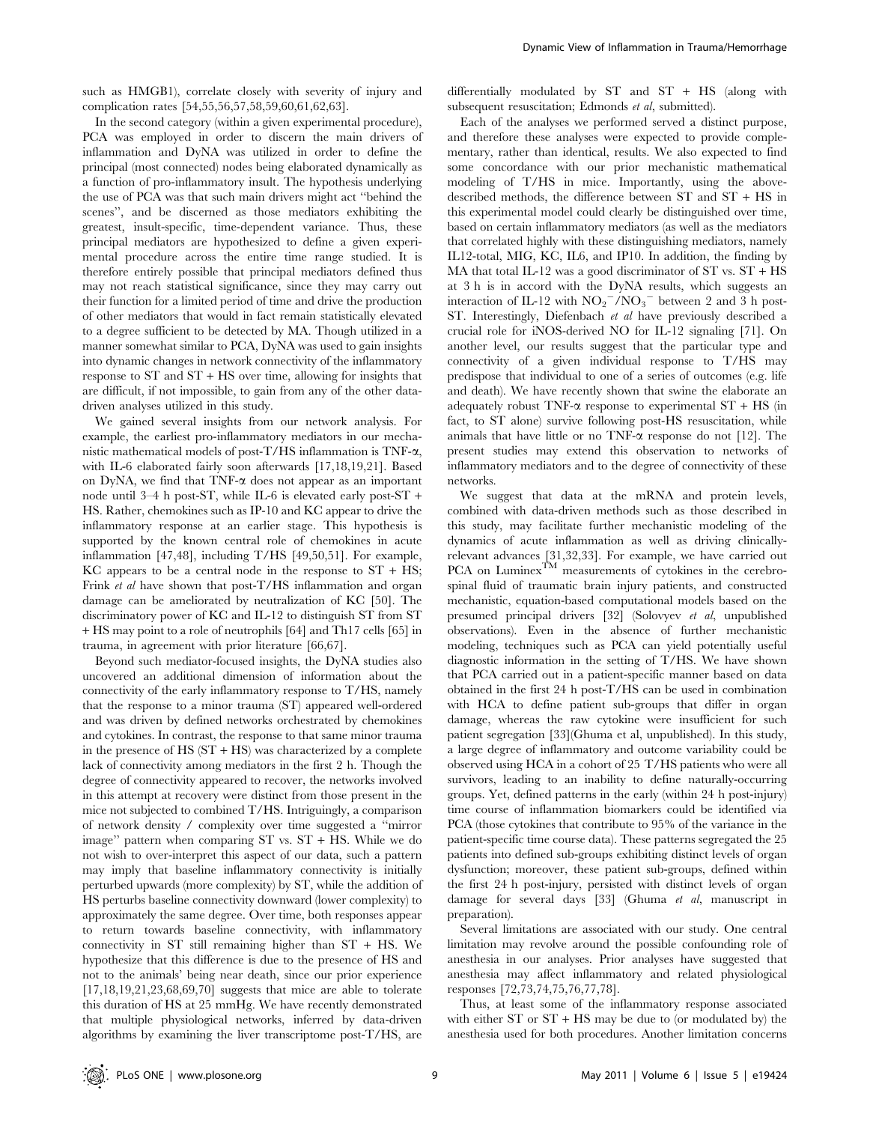In the second category (within a given experimental procedure), PCA was employed in order to discern the main drivers of inflammation and DyNA was utilized in order to define the principal (most connected) nodes being elaborated dynamically as a function of pro-inflammatory insult. The hypothesis underlying the use of PCA was that such main drivers might act ''behind the scenes'', and be discerned as those mediators exhibiting the greatest, insult-specific, time-dependent variance. Thus, these principal mediators are hypothesized to define a given experimental procedure across the entire time range studied. It is therefore entirely possible that principal mediators defined thus may not reach statistical significance, since they may carry out their function for a limited period of time and drive the production of other mediators that would in fact remain statistically elevated to a degree sufficient to be detected by MA. Though utilized in a manner somewhat similar to PCA, DyNA was used to gain insights into dynamic changes in network connectivity of the inflammatory response to ST and ST + HS over time, allowing for insights that are difficult, if not impossible, to gain from any of the other datadriven analyses utilized in this study.

We gained several insights from our network analysis. For example, the earliest pro-inflammatory mediators in our mechanistic mathematical models of post- $T/HS$  inflammation is  $TNF-<sub>\alpha</sub>$ , with IL-6 elaborated fairly soon afterwards [17,18,19,21]. Based on DyNA, we find that  $TNF-\alpha$  does not appear as an important node until 3–4 h post-ST, while IL-6 is elevated early post-ST + HS. Rather, chemokines such as IP-10 and KC appear to drive the inflammatory response at an earlier stage. This hypothesis is supported by the known central role of chemokines in acute inflammation [47,48], including T/HS [49,50,51]. For example,  $\overline{K}C$  appears to be a central node in the response to  $ST + HS$ ; Frink *et al* have shown that post-T/HS inflammation and organ damage can be ameliorated by neutralization of KC [50]. The discriminatory power of KC and IL-12 to distinguish ST from ST + HS may point to a role of neutrophils [64] and Th17 cells [65] in trauma, in agreement with prior literature [66,67].

Beyond such mediator-focused insights, the DyNA studies also uncovered an additional dimension of information about the connectivity of the early inflammatory response to T/HS, namely that the response to a minor trauma (ST) appeared well-ordered and was driven by defined networks orchestrated by chemokines and cytokines. In contrast, the response to that same minor trauma in the presence of HS (ST + HS) was characterized by a complete lack of connectivity among mediators in the first 2 h. Though the degree of connectivity appeared to recover, the networks involved in this attempt at recovery were distinct from those present in the mice not subjected to combined T/HS. Intriguingly, a comparison of network density / complexity over time suggested a ''mirror image'' pattern when comparing ST vs. ST + HS. While we do not wish to over-interpret this aspect of our data, such a pattern may imply that baseline inflammatory connectivity is initially perturbed upwards (more complexity) by ST, while the addition of HS perturbs baseline connectivity downward (lower complexity) to approximately the same degree. Over time, both responses appear to return towards baseline connectivity, with inflammatory connectivity in ST still remaining higher than ST + HS. We hypothesize that this difference is due to the presence of HS and not to the animals' being near death, since our prior experience [17,18,19,21,23,68,69,70] suggests that mice are able to tolerate this duration of HS at 25 mmHg. We have recently demonstrated that multiple physiological networks, inferred by data-driven algorithms by examining the liver transcriptome post-T/HS, are

differentially modulated by ST and ST + HS (along with subsequent resuscitation; Edmonds et al, submitted).

Each of the analyses we performed served a distinct purpose, and therefore these analyses were expected to provide complementary, rather than identical, results. We also expected to find some concordance with our prior mechanistic mathematical modeling of T/HS in mice. Importantly, using the abovedescribed methods, the difference between ST and ST + HS in this experimental model could clearly be distinguished over time, based on certain inflammatory mediators (as well as the mediators that correlated highly with these distinguishing mediators, namely IL12-total, MIG, KC, IL6, and IP10. In addition, the finding by MA that total IL-12 was a good discriminator of ST vs.  $ST + HS$ at 3 h is in accord with the DyNA results, which suggests an interaction of IL-12 with  $NO_2^-/NO_3^-$  between 2 and 3 h post-ST. Interestingly, Diefenbach et al have previously described a crucial role for iNOS-derived NO for IL-12 signaling [71]. On another level, our results suggest that the particular type and connectivity of a given individual response to T/HS may predispose that individual to one of a series of outcomes (e.g. life and death). We have recently shown that swine the elaborate an adequately robust TNF- $\alpha$  response to experimental ST + HS (in fact, to ST alone) survive following post-HS resuscitation, while animals that have little or no TNF- $\alpha$  response do not [12]. The present studies may extend this observation to networks of inflammatory mediators and to the degree of connectivity of these networks.

We suggest that data at the mRNA and protein levels, combined with data-driven methods such as those described in this study, may facilitate further mechanistic modeling of the dynamics of acute inflammation as well as driving clinicallyrelevant advances [31,32,33]. For example, we have carried out PCA on Luminex<sup>TM</sup> measurements of cytokines in the cerebrospinal fluid of traumatic brain injury patients, and constructed mechanistic, equation-based computational models based on the presumed principal drivers [32] (Solovyev et al, unpublished observations). Even in the absence of further mechanistic modeling, techniques such as PCA can yield potentially useful diagnostic information in the setting of T/HS. We have shown that PCA carried out in a patient-specific manner based on data obtained in the first 24 h post-T/HS can be used in combination with HCA to define patient sub-groups that differ in organ damage, whereas the raw cytokine were insufficient for such patient segregation [33](Ghuma et al, unpublished). In this study, a large degree of inflammatory and outcome variability could be observed using HCA in a cohort of 25 T/HS patients who were all survivors, leading to an inability to define naturally-occurring groups. Yet, defined patterns in the early (within 24 h post-injury) time course of inflammation biomarkers could be identified via PCA (those cytokines that contribute to 95% of the variance in the patient-specific time course data). These patterns segregated the 25 patients into defined sub-groups exhibiting distinct levels of organ dysfunction; moreover, these patient sub-groups, defined within the first 24 h post-injury, persisted with distinct levels of organ damage for several days [33] (Ghuma et al, manuscript in preparation).

Several limitations are associated with our study. One central limitation may revolve around the possible confounding role of anesthesia in our analyses. Prior analyses have suggested that anesthesia may affect inflammatory and related physiological responses [72,73,74,75,76,77,78].

Thus, at least some of the inflammatory response associated with either  $ST$  or  $ST + HS$  may be due to (or modulated by) the anesthesia used for both procedures. Another limitation concerns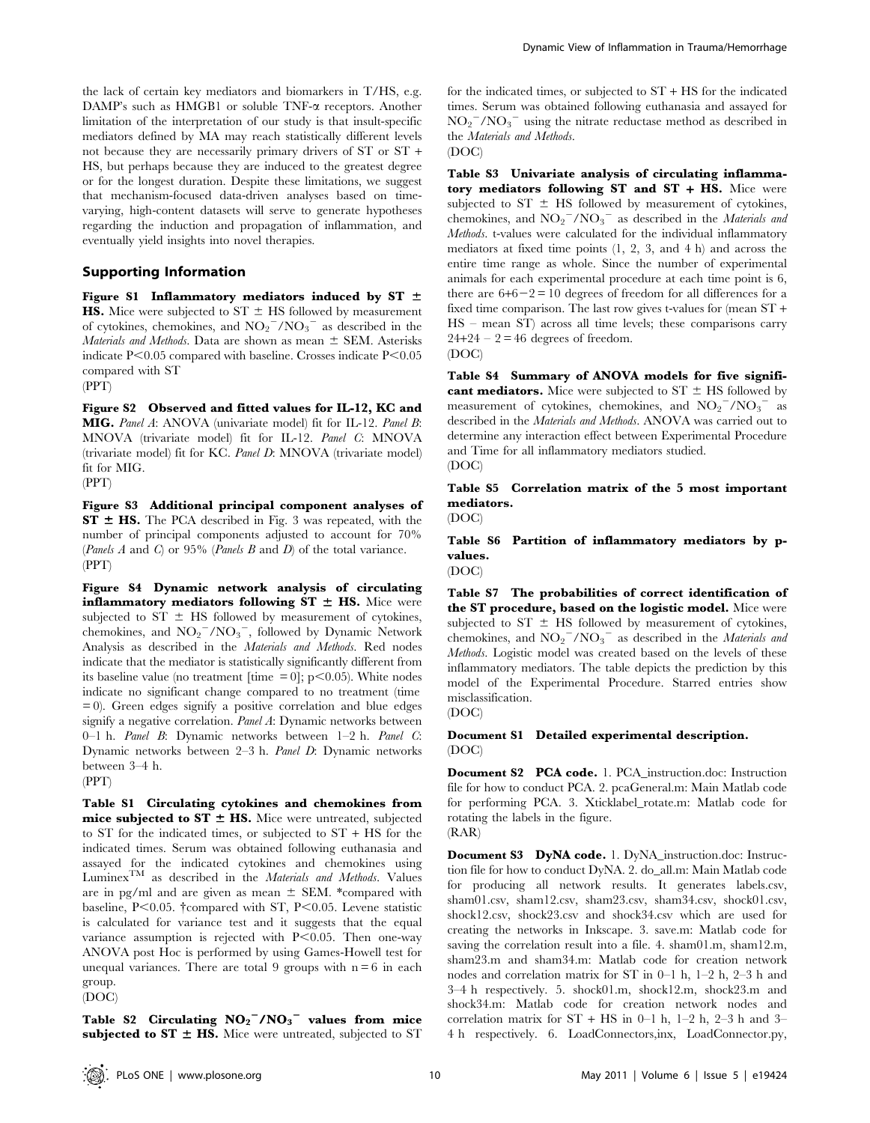the lack of certain key mediators and biomarkers in T/HS, e.g. DAMP's such as HMGB1 or soluble TNF-a receptors. Another limitation of the interpretation of our study is that insult-specific mediators defined by MA may reach statistically different levels not because they are necessarily primary drivers of ST or ST + HS, but perhaps because they are induced to the greatest degree or for the longest duration. Despite these limitations, we suggest that mechanism-focused data-driven analyses based on timevarying, high-content datasets will serve to generate hypotheses regarding the induction and propagation of inflammation, and eventually yield insights into novel therapies.

## Supporting Information

Figure S1 Inflammatory mediators induced by ST  $\pm$ **HS.** Mice were subjected to  $ST \pm HS$  followed by measurement of cytokines, chemokines, and  $NO_2^-/NO_3^-$  as described in the Materials and Methods. Data are shown as mean  $\pm$  SEM. Asterisks indicate  $P<0.05$  compared with baseline. Crosses indicate  $P<0.05$ compared with ST (PPT)

Figure S2 Observed and fitted values for IL-12, KC and MIG. Panel A: ANOVA (univariate model) fit for IL-12. Panel B: MNOVA (trivariate model) fit for IL-12. Panel C: MNOVA (trivariate model) fit for KC. Panel D: MNOVA (trivariate model) fit for MIG.

(PPT)

Figure S3 Additional principal component analyses of  $ST \pm HS$ . The PCA described in Fig. 3 was repeated, with the number of principal components adjusted to account for 70% (Panels  $A$  and  $C$ ) or 95% (Panels  $B$  and  $D$ ) of the total variance. (PPT)

Figure S4 Dynamic network analysis of circulating inflammatory mediators following  $ST \pm HS$ . Mice were subjected to  $ST \pm HS$  followed by measurement of cytokines, chemokines, and  $NO_2^-/NO_3^-$ , followed by Dynamic Network Analysis as described in the Materials and Methods. Red nodes indicate that the mediator is statistically significantly different from its baseline value (no treatment [time  $= 0$ ]; p $< 0.05$ ). White nodes indicate no significant change compared to no treatment (time  $= 0$ ). Green edges signify a positive correlation and blue edges signify a negative correlation. Panel A: Dynamic networks between 0–1 h. Panel B: Dynamic networks between 1–2 h. Panel C: Dynamic networks between 2–3 h. Panel D: Dynamic networks between 3–4 h.

(PPT)

Table S1 Circulating cytokines and chemokines from mice subjected to  $ST \pm HS$ . Mice were untreated, subjected to ST for the indicated times, or subjected to ST + HS for the indicated times. Serum was obtained following euthanasia and assayed for the indicated cytokines and chemokines using  $Luminex^{TM}$  as described in the *Materials and Methods*. Values are in pg/ml and are given as mean  $\pm$  SEM. \*compared with baseline,  $P<0.05$ .  $\dagger$ compared with ST,  $P<0.05$ . Levene statistic is calculated for variance test and it suggests that the equal variance assumption is rejected with  $P<0.05$ . Then one-way ANOVA post Hoc is performed by using Games-Howell test for unequal variances. There are total 9 groups with  $n = 6$  in each group. (DOC)

Table S2 Circulating  $NO_2^-/NO_3^-$  values from mice subjected to  $ST \pm HS$ . Mice were untreated, subjected to ST for the indicated times, or subjected to  $ST + HS$  for the indicated times. Serum was obtained following euthanasia and assayed for  $NO_2$ <sup>-</sup>/NO<sub>3</sub><sup>-</sup> using the nitrate reductase method as described in the Materials and Methods.



Table S3 Univariate analysis of circulating inflammatory mediators following ST and ST + HS. Mice were subjected to  $ST \pm HS$  followed by measurement of cytokines, chemokines, and  $NO_2^-/NO_3^-$  as described in the *Materials and* Methods. t-values were calculated for the individual inflammatory mediators at fixed time points (1, 2, 3, and 4 h) and across the entire time range as whole. Since the number of experimental animals for each experimental procedure at each time point is 6, there are  $6+6-2=10$  degrees of freedom for all differences for a fixed time comparison. The last row gives t-values for (mean ST + HS – mean ST) across all time levels; these comparisons carry  $24+24-2=46$  degrees of freedom. (DOC)

Table S4 Summary of ANOVA models for five significant mediators. Mice were subjected to  $ST \pm HS$  followed by measurement of cytokines, chemokines, and  $NO_2$ <sup>-</sup>/NO<sub>3</sub><sup>-</sup> as described in the Materials and Methods. ANOVA was carried out to determine any interaction effect between Experimental Procedure and Time for all inflammatory mediators studied. (DOC)

Table S5 Correlation matrix of the 5 most important mediators.

(DOC)

Table S6 Partition of inflammatory mediators by pvalues.

(DOC)

Table S7 The probabilities of correct identification of the ST procedure, based on the logistic model. Mice were subjected to  $ST \pm HS$  followed by measurement of cytokines, chemokines, and  $NO_2$ <sup>-</sup>/NO<sub>3</sub><sup>-</sup> as described in the *Materials and* Methods. Logistic model was created based on the levels of these inflammatory mediators. The table depicts the prediction by this model of the Experimental Procedure. Starred entries show misclassification.

(DOC)

Document S1 Detailed experimental description. (DOC)

Document S2 PCA code. 1. PCA\_instruction.doc: Instruction file for how to conduct PCA. 2. pcaGeneral.m: Main Matlab code for performing PCA. 3. Xticklabel\_rotate.m: Matlab code for rotating the labels in the figure.  $(RAR)$ 

Document S3 DyNA code. 1. DyNA\_instruction.doc: Instruction file for how to conduct DyNA. 2. do\_all.m: Main Matlab code for producing all network results. It generates labels.csv, sham01.csv, sham12.csv, sham23.csv, sham34.csv, shock01.csv, shock12.csv, shock23.csv and shock34.csv which are used for creating the networks in Inkscape. 3. save.m: Matlab code for saving the correlation result into a file. 4. sham01.m, sham12.m, sham23.m and sham34.m: Matlab code for creation network nodes and correlation matrix for ST in 0–1 h, 1–2 h, 2–3 h and 3–4 h respectively. 5. shock01.m, shock12.m, shock23.m and shock34.m: Matlab code for creation network nodes and correlation matrix for  $ST + HS$  in 0–1 h, 1–2 h, 2–3 h and 3– 4 h respectively. 6. LoadConnectors,inx, LoadConnector.py,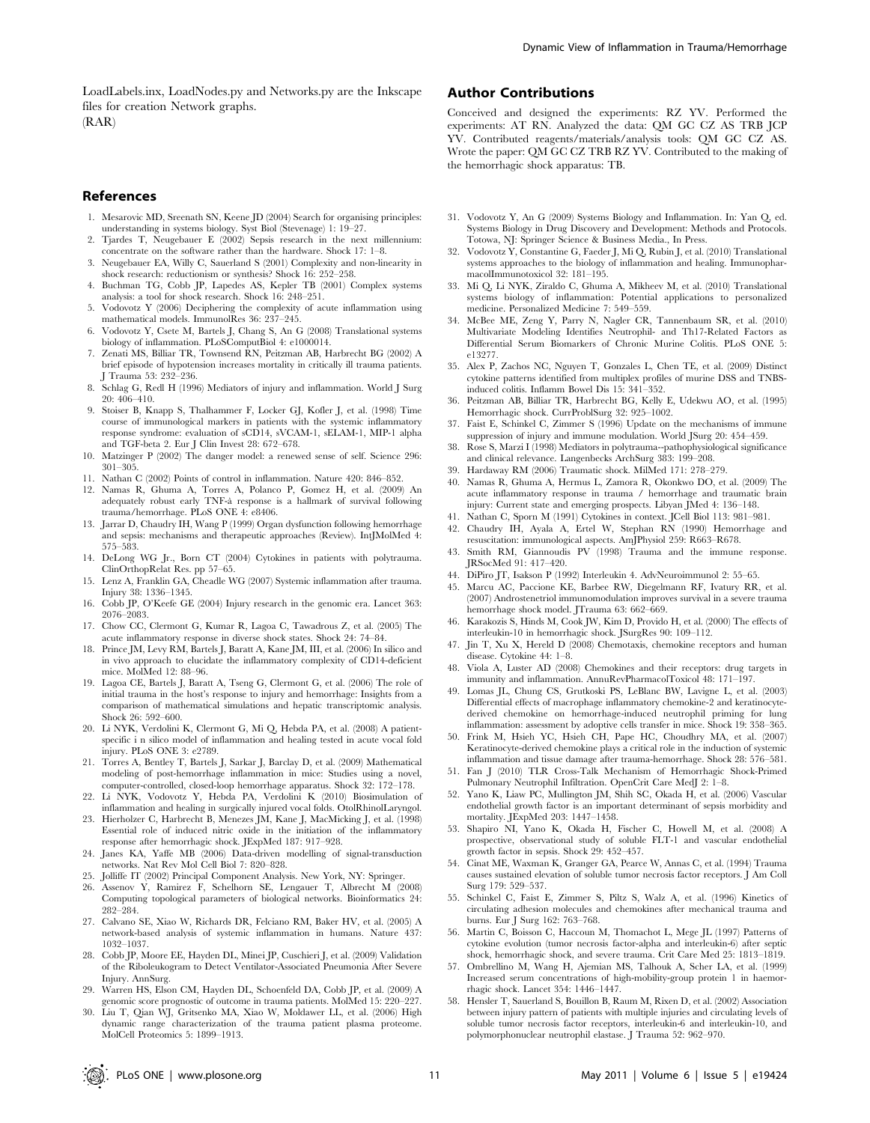LoadLabels.inx, LoadNodes.py and Networks.py are the Inkscape files for creation Network graphs.  $(RAR)$ 

#### References

- 1. Mesarovic MD, Sreenath SN, Keene JD (2004) Search for organising principles: understanding in systems biology. Syst Biol (Stevenage) 1: 19–27.
- 2. Tjardes T, Neugebauer E (2002) Sepsis research in the next millennium: concentrate on the software rather than the hardware. Shock 17: 1–8.
- 3. Neugebauer EA, Willy C, Sauerland S (2001) Complexity and non-linearity in shock research: reductionism or synthesis? Shock 16: 252–258.
- 4. Buchman TG, Cobb JP, Lapedes AS, Kepler TB (2001) Complex systems analysis: a tool for shock research. Shock 16: 248–251.
- 5. Vodovotz Y (2006) Deciphering the complexity of acute inflammation using mathematical models. ImmunolRes 36: 237–245.
- 6. Vodovotz Y, Csete M, Bartels J, Chang S, An G (2008) Translational systems biology of inflammation. PLoSComputBiol 4: e1000014.
- 7. Zenati MS, Billiar TR, Townsend RN, Peitzman AB, Harbrecht BG (2002) A brief episode of hypotension increases mortality in critically ill trauma patients. Trauma 53: 232-236.
- 8. Schlag G, Redl H (1996) Mediators of injury and inflammation. World J Surg 20: 406–410.
- 9. Stoiser B, Knapp S, Thalhammer F, Locker GJ, Kofler J, et al. (1998) Time course of immunological markers in patients with the systemic inflammatory response syndrome: evaluation of sCD14, sVCAM-1, sELAM-1, MIP-1 alpha and TGF-beta 2. Eur J Clin Invest 28: 672–678.
- 10. Matzinger P (2002) The danger model: a renewed sense of self. Science 296: 301–305.
- 11. Nathan C (2002) Points of control in inflammation. Nature 420: 846–852.
- 12. Namas R, Ghuma A, Torres A, Polanco P, Gomez H, et al. (2009) An adequately robust early TNF-a` response is a hallmark of survival following trauma/hemorrhage. PLoS ONE 4: e8406.
- 13. Jarrar D, Chaudry IH, Wang P (1999) Organ dysfunction following hemorrhage and sepsis: mechanisms and therapeutic approaches (Review). IntJMolMed 4: 575–583.
- 14. DeLong WG Jr., Born CT (2004) Cytokines in patients with polytrauma. ClinOrthopRelat Res. pp 57–65.
- 15. Lenz A, Franklin GA, Cheadle WG (2007) Systemic inflammation after trauma. Injury 38: 1336–1345.
- 16. Cobb JP, O'Keefe GE (2004) Injury research in the genomic era. Lancet 363: 2076–2083.
- 17. Chow CC, Clermont G, Kumar R, Lagoa C, Tawadrous Z, et al. (2005) The acute inflammatory response in diverse shock states. Shock 24: 74–84.
- 18. Prince JM, Levy RM, Bartels J, Baratt A, Kane JM, III, et al. (2006) In silico and in vivo approach to elucidate the inflammatory complexity of CD14-deficient mice. MolMed 12: 88–96.
- 19. Lagoa CE, Bartels J, Baratt A, Tseng G, Clermont G, et al. (2006) The role of initial trauma in the host's response to injury and hemorrhage: Insights from a comparison of mathematical simulations and hepatic transcriptomic analysis. Shock 26: 592–600.
- 20. Li NYK, Verdolini K, Clermont G, Mi Q, Hebda PA, et al. (2008) A patientspecific i n silico model of inflammation and healing tested in acute vocal fold injury. PLoS ONE 3: e2789.
- 21. Torres A, Bentley T, Bartels J, Sarkar J, Barclay D, et al. (2009) Mathematical modeling of post-hemorrhage inflammation in mice: Studies using a novel, computer-controlled, closed-loop hemorrhage apparatus. Shock 32: 172–178.
- 22. Li NYK, Vodovotz Y, Hebda PA, Verdolini K (2010) Biosimulation of inflammation and healing in surgically injured vocal folds. OtolRhinolLaryngol.
- 23. Hierholzer C, Harbrecht B, Menezes JM, Kane J, MacMicking J, et al. (1998) Essential role of induced nitric oxide in the initiation of the inflammatory response after hemorrhagic shock. JExpMed 187: 917–928.
- 24. Janes KA, Yaffe MB (2006) Data-driven modelling of signal-transduction networks. Nat Rev Mol Cell Biol 7: 820–828.
- 25. Jolliffe IT (2002) Principal Component Analysis. New York, NY: Springer.
- 26. Assenov Y, Ramirez F, Schelhorn SE, Lengauer T, Albrecht M (2008) Computing topological parameters of biological networks. Bioinformatics 24: 282–284.
- 27. Calvano SE, Xiao W, Richards DR, Felciano RM, Baker HV, et al. (2005) A network-based analysis of systemic inflammation in humans. Nature 437: 1032–1037.
- 28. Cobb JP, Moore EE, Hayden DL, Minei JP, Cuschieri J, et al. (2009) Validation of the Riboleukogram to Detect Ventilator-Associated Pneumonia After Severe Injury. AnnSurg.
- 29. Warren HS, Elson CM, Hayden DL, Schoenfeld DA, Cobb JP, et al. (2009) A genomic score prognostic of outcome in trauma patients. MolMed 15: 220–227.
- 30. Liu T, Qian WJ, Gritsenko MA, Xiao W, Moldawer LL, et al. (2006) High dynamic range characterization of the trauma patient plasma proteome. MolCell Proteomics 5: 1899–1913.

## Author Contributions

Conceived and designed the experiments: RZ YV. Performed the experiments: AT RN. Analyzed the data: QM GC CZ AS TRB JCP YV. Contributed reagents/materials/analysis tools: QM GC CZ AS. Wrote the paper: QM GC CZ TRB RZ YV. Contributed to the making of the hemorrhagic shock apparatus: TB.

- 31. Vodovotz Y, An G (2009) Systems Biology and Inflammation. In: Yan Q, ed. Systems Biology in Drug Discovery and Development: Methods and Protocols. Totowa, NJ: Springer Science & Business Media., In Press.
- 32. Vodovotz Y, Constantine G, Faeder J, Mi Q, Rubin J, et al. (2010) Translational systems approaches to the biology of inflammation and healing. ImmunopharmacolImmunotoxicol 32: 181–195.
- 33. Mi Q, Li NYK, Ziraldo C, Ghuma A, Mikheev M, et al. (2010) Translational systems biology of inflammation: Potential applications to personalized medicine. Personalized Medicine 7: 549–559.
- 34. McBee ME, Zeng Y, Parry N, Nagler CR, Tannenbaum SR, et al. (2010) Multivariate Modeling Identifies Neutrophil- and Th17-Related Factors as Differential Serum Biomarkers of Chronic Murine Colitis. PLoS ONE 5: e13277.
- 35. Alex P, Zachos NC, Nguyen T, Gonzales L, Chen TE, et al. (2009) Distinct cytokine patterns identified from multiplex profiles of murine DSS and TNBSinduced colitis. Inflamm Bowel Dis 15: 341–352.
- 36. Peitzman AB, Billiar TR, Harbrecht BG, Kelly E, Udekwu AO, et al. (1995) Hemorrhagic shock. CurrProblSurg 32: 925–1002.
- 37. Faist E, Schinkel C, Zimmer S (1996) Update on the mechanisms of immune suppression of injury and immune modulation. World JSurg 20: 454–459.
- 38. Rose S, Marzi I (1998) Mediators in polytrauma--pathophysiological significance and clinical relevance. Langenbecks ArchSurg 383: 199–208.
- 39. Hardaway RM (2006) Traumatic shock. MilMed 171: 278–279.
- 40. Namas R, Ghuma A, Hermus L, Zamora R, Okonkwo DO, et al. (2009) The acute inflammatory response in trauma / hemorrhage and traumatic brain injury: Current state and emerging prospects. Libyan JMed 4: 136–148.
- 41. Nathan C, Sporn M (1991) Cytokines in context. JCell Biol 113: 981–981.
- 42. Chaudry IH, Ayala A, Ertel W, Stephan RN (1990) Hemorrhage and resuscitation: immunological aspects. AmJPhysiol 259: R663–R678.
- 43. Smith RM, Giannoudis PV (1998) Trauma and the immune response. JRSocMed 91: 417–420.
- 44. DiPiro JT, Isakson P (1992) Interleukin 4. AdvNeuroimmunol 2: 55–65.
- 45. Marcu AC, Paccione KE, Barbee RW, Diegelmann RF, Ivatury RR, et al. (2007) Androstenetriol immunomodulation improves survival in a severe trauma hemorrhage shock model. JTrauma 63: 662–669.
- 46. Karakozis S, Hinds M, Cook JW, Kim D, Provido H, et al. (2000) The effects of interleukin-10 in hemorrhagic shock. JSurgRes 90: 109–112.
- 47. Jin T, Xu X, Hereld D (2008) Chemotaxis, chemokine receptors and human disease. Cytokine 44: 1–8.
- 48. Viola A, Luster AD (2008) Chemokines and their receptors: drug targets in immunity and inflammation. AnnuRevPharmacolToxicol 48: 171–197.
- 49. Lomas JL, Chung CS, Grutkoski PS, LeBlanc BW, Lavigne L, et al. (2003) Differential effects of macrophage inflammatory chemokine-2 and keratinocytederived chemokine on hemorrhage-induced neutrophil priming for lung inflammation: assessment by adoptive cells transfer in mice. Shock 19: 358–365.
- 50. Frink M, Hsieh YC, Hsieh CH, Pape HC, Choudhry MA, et al. (2007) Keratinocyte-derived chemokine plays a critical role in the induction of systemic inflammation and tissue damage after trauma-hemorrhage. Shock 28: 576–581.
- 51. Fan J (2010) TLR Cross-Talk Mechanism of Hemorrhagic Shock-Primed Pulmonary Neutrophil Infiltration. OpenCrit Care MedJ 2: 1–8.
- 52. Yano K, Liaw PC, Mullington JM, Shih SC, Okada H, et al. (2006) Vascular endothelial growth factor is an important determinant of sepsis morbidity and mortality. JExpMed 203: 1447–1458.
- 53. Shapiro NI, Yano K, Okada H, Fischer C, Howell M, et al. (2008) A prospective, observational study of soluble FLT-1 and vascular endothelial growth factor in sepsis. Shock 29: 452–457.
- 54. Cinat ME, Waxman K, Granger GA, Pearce W, Annas C, et al. (1994) Trauma causes sustained elevation of soluble tumor necrosis factor receptors. J Am Coll Surg 179: 529–537.
- 55. Schinkel C, Faist E, Zimmer S, Piltz S, Walz A, et al. (1996) Kinetics of circulating adhesion molecules and chemokines after mechanical trauma and burns. Eur J Surg 162: 763–768.
- 56. Martin C, Boisson C, Haccoun M, Thomachot L, Mege JL (1997) Patterns of cytokine evolution (tumor necrosis factor-alpha and interleukin-6) after septic shock, hemorrhagic shock, and severe trauma. Crit Care Med 25: 1813–1819.
- 57. Ombrellino M, Wang H, Ajemian MS, Talhouk A, Scher LA, et al. (1999) Increased serum concentrations of high-mobility-group protein 1 in haemorrhagic shock. Lancet 354: 1446–1447.
- 58. Hensler T, Sauerland S, Bouillon B, Raum M, Rixen D, et al. (2002) Association between injury pattern of patients with multiple injuries and circulating levels of soluble tumor necrosis factor receptors, interleukin-6 and interleukin-10, and polymorphonuclear neutrophil elastase. J Trauma 52: 962–970.